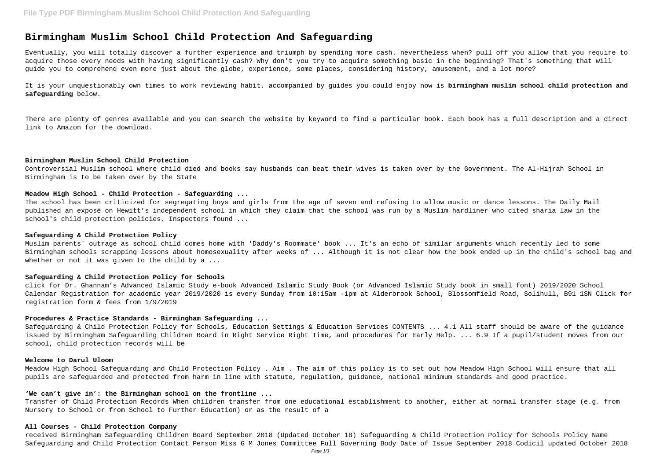# **Birmingham Muslim School Child Protection And Safeguarding**

Eventually, you will totally discover a further experience and triumph by spending more cash. nevertheless when? pull off you allow that you require to acquire those every needs with having significantly cash? Why don't you try to acquire something basic in the beginning? That's something that will guide you to comprehend even more just about the globe, experience, some places, considering history, amusement, and a lot more?

It is your unquestionably own times to work reviewing habit. accompanied by guides you could enjoy now is **birmingham muslim school child protection and safeguarding** below.

Muslim parents' outrage as school child comes home with 'Daddy's Roommate' book ... It's an echo of similar arguments which recently led to some Birmingham schools scrapping lessons about homosexuality after weeks of ... Although it is not clear how the book ended up in the child's school bag and whether or not it was given to the child by a ...

There are plenty of genres available and you can search the website by keyword to find a particular book. Each book has a full description and a direct link to Amazon for the download.

#### **Birmingham Muslim School Child Protection**

Controversial Muslim school where child died and books say husbands can beat their wives is taken over by the Government. The Al-Hijrah School in Birmingham is to be taken over by the State

## **Meadow High School - Child Protection - Safeguarding ...**

The school has been criticized for segregating boys and girls from the age of seven and refusing to allow music or dance lessons. The Daily Mail published an exposé on Hewitt's independent school in which they claim that the school was run by a Muslim hardliner who cited sharia law in the school's child protection policies. Inspectors found ...

#### **Safeguarding & Child Protection Policy**

## **Safeguarding & Child Protection Policy for Schools**

click for Dr. Ghannam's Advanced Islamic Study e-book Advanced Islamic Study Book (or Advanced Islamic Study book in small font) 2019/2020 School Calendar Registration for academic year 2019/2020 is every Sunday from 10:15am -1pm at Alderbrook School, Blossomfield Road, Solihull, B91 1SN Click for registration form & fees from 1/9/2019

## **Procedures & Practice Standards - Birmingham Safeguarding ...**

Safeguarding & Child Protection Policy for Schools, Education Settings & Education Services CONTENTS ... 4.1 All staff should be aware of the guidance issued by Birmingham Safeguarding Children Board in Right Service Right Time, and procedures for Early Help. ... 6.9 If a pupil/student moves from our school, child protection records will be

## **Welcome to Darul Uloom**

Meadow High School Safeguarding and Child Protection Policy . Aim . The aim of this policy is to set out how Meadow High School will ensure that all pupils are safeguarded and protected from harm in line with statute, regulation, guidance, national minimum standards and good practice.

## **'We can't give in': the Birmingham school on the frontline ...**

Transfer of Child Protection Records When children transfer from one educational establishment to another, either at normal transfer stage (e.g. from Nursery to School or from School to Further Education) or as the result of a

## **All Courses - Child Protection Company**

received Birmingham Safeguarding Children Board September 2018 (Updated October 18) Safeguarding & Child Protection Policy for Schools Policy Name Safeguarding and Child Protection Contact Person Miss G M Jones Committee Full Governing Body Date of Issue September 2018 Codicil updated October 2018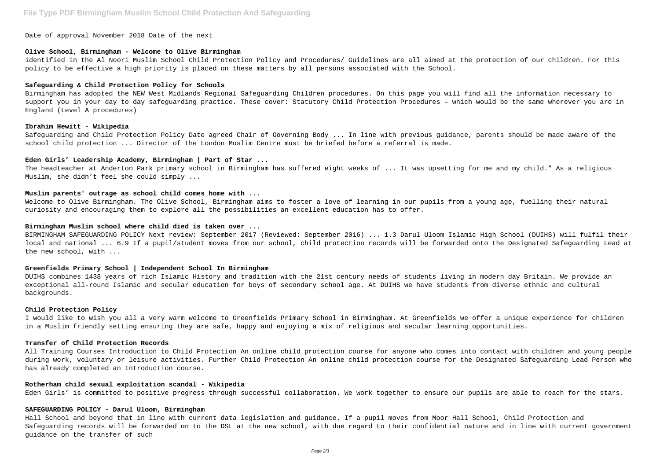Date of approval November 2018 Date of the next

## **Olive School, Birmingham - Welcome to Olive Birmingham**

identified in the Al Noori Muslim School Child Protection Policy and Procedures/ Guidelines are all aimed at the protection of our children. For this policy to be effective a high priority is placed on these matters by all persons associated with the School.

#### **Safeguarding & Child Protection Policy for Schools**

Birmingham has adopted the NEW West Midlands Regional Safeguarding Children procedures. On this page you will find all the information necessary to support you in your day to day safeguarding practice. These cover: Statutory Child Protection Procedures – which would be the same wherever you are in England (Level A procedures)

#### **Ibrahim Hewitt - Wikipedia**

Safeguarding and Child Protection Policy Date agreed Chair of Governing Body ... In line with previous guidance, parents should be made aware of the school child protection ... Director of the London Muslim Centre must be briefed before a referral is made.

## **Eden Girls' Leadership Academy, Birmingham | Part of Star ...**

The headteacher at Anderton Park primary school in Birmingham has suffered eight weeks of ... It was upsetting for me and my child." As a religious Muslim, she didn't feel she could simply ...

### **Muslim parents' outrage as school child comes home with ...**

Welcome to Olive Birmingham. The Olive School, Birmingham aims to foster a love of learning in our pupils from a young age, fuelling their natural curiosity and encouraging them to explore all the possibilities an excellent education has to offer.

#### **Birmingham Muslim school where child died is taken over ...**

BIRMINGHAM SAFEGUARDING POLICY Next review: September 2017 (Reviewed: September 2016) ... 1.3 Darul Uloom Islamic High School (DUIHS) will fulfil their local and national ... 6.9 If a pupil/student moves from our school, child protection records will be forwarded onto the Designated Safeguarding Lead at the new school, with ...

#### **Greenfields Primary School | Independent School In Birmingham**

DUIHS combines 1438 years of rich Islamic History and tradition with the 21st century needs of students living in modern day Britain. We provide an exceptional all-round Islamic and secular education for boys of secondary school age. At DUIHS we have students from diverse ethnic and cultural backgrounds.

## **Child Protection Policy**

I would like to wish you all a very warm welcome to Greenfields Primary School in Birmingham. At Greenfields we offer a unique experience for children in a Muslim friendly setting ensuring they are safe, happy and enjoying a mix of religious and secular learning opportunities.

## **Transfer of Child Protection Records**

All Training Courses Introduction to Child Protection An online child protection course for anyone who comes into contact with children and young people during work, voluntary or leisure activities. Further Child Protection An online child protection course for the Designated Safeguarding Lead Person who has already completed an Introduction course.

#### **Rotherham child sexual exploitation scandal - Wikipedia**

Eden Girls' is committed to positive progress through successful collaboration. We work together to ensure our pupils are able to reach for the stars.

## **SAFEGUARDING POLICY - Darul Uloom, Birmingham**

Hall School and beyond that in line with current data legislation and guidance. If a pupil moves from Moor Hall School, Child Protection and Safeguarding records will be forwarded on to the DSL at the new school, with due regard to their confidential nature and in line with current government guidance on the transfer of such